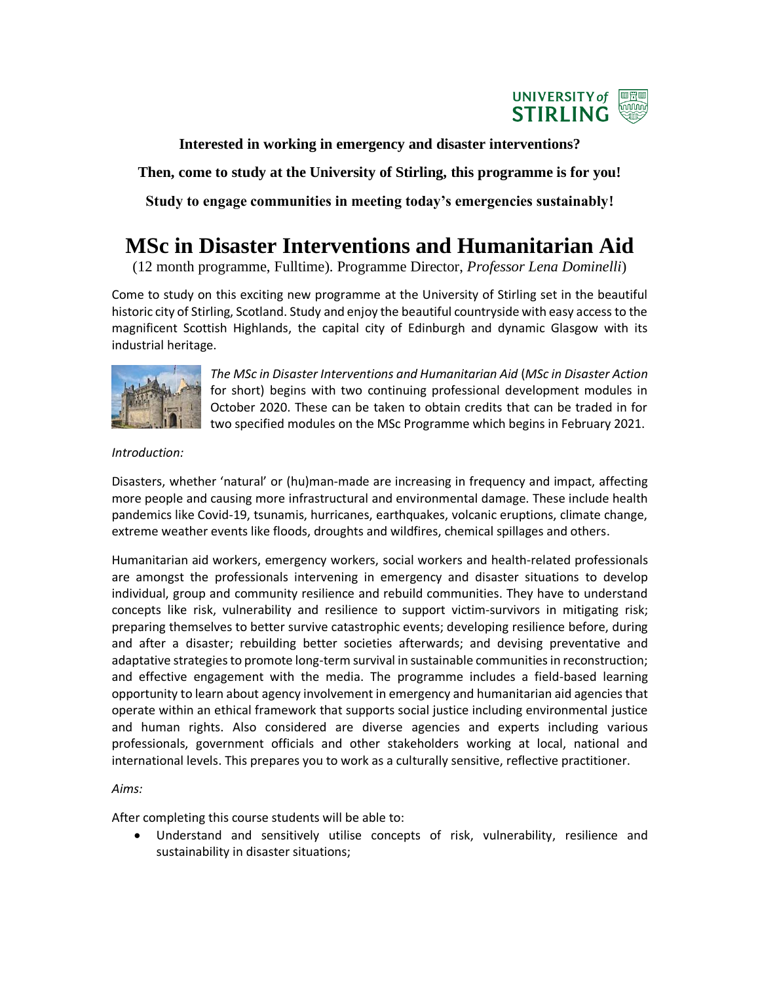

**Interested in working in emergency and disaster interventions?**

**Then, come to study at the University of Stirling, this programme is for you!**

**Study to engage communities in meeting today's emergencies sustainably!**

## **MSc in Disaster Interventions and Humanitarian Aid**

(12 month programme, Fulltime). Programme Director, *Professor Lena Dominelli*)

Come to study on this exciting new programme at the University of Stirling set in the beautiful historic city of Stirling, Scotland. Study and enjoy the beautiful countryside with easy access to the magnificent Scottish Highlands, the capital city of Edinburgh and dynamic Glasgow with its industrial heritage.



*The MSc in Disaster Interventions and Humanitarian Aid* (*MSc in Disaster Action* for short) begins with two continuing professional development modules in October 2020. These can be taken to obtain credits that can be traded in for two specified modules on the MSc Programme which begins in February 2021.

*Introduction:*

Disasters, whether 'natural' or (hu)man-made are increasing in frequency and impact, affecting more people and causing more infrastructural and environmental damage. These include health pandemics like Covid-19, tsunamis, hurricanes, earthquakes, volcanic eruptions, climate change, extreme weather events like floods, droughts and wildfires, chemical spillages and others.

Humanitarian aid workers, emergency workers, social workers and health-related professionals are amongst the professionals intervening in emergency and disaster situations to develop individual, group and community resilience and rebuild communities. They have to understand concepts like risk, vulnerability and resilience to support victim-survivors in mitigating risk; preparing themselves to better survive catastrophic events; developing resilience before, during and after a disaster; rebuilding better societies afterwards; and devising preventative and adaptative strategies to promote long-term survival in sustainable communities in reconstruction; and effective engagement with the media. The programme includes a field-based learning opportunity to learn about agency involvement in emergency and humanitarian aid agencies that operate within an ethical framework that supports social justice including environmental justice and human rights. Also considered are diverse agencies and experts including various professionals, government officials and other stakeholders working at local, national and international levels. This prepares you to work as a culturally sensitive, reflective practitioner.

*Aims:*

After completing this course students will be able to:

• Understand and sensitively utilise concepts of risk, vulnerability, resilience and sustainability in disaster situations;